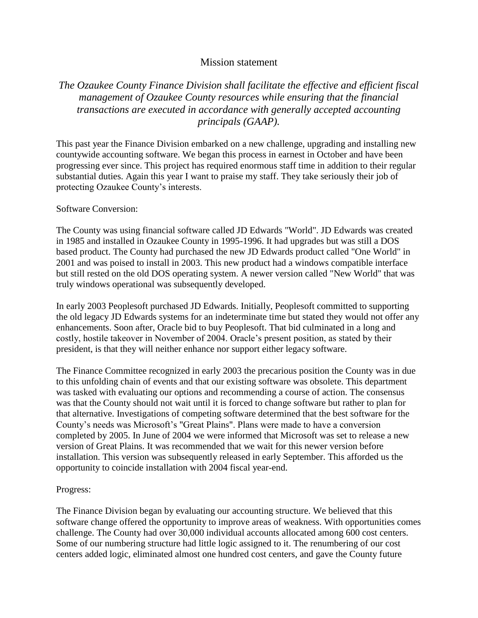## Mission statement

## *The Ozaukee County Finance Division shall facilitate the effective and efficient fiscal management of Ozaukee County resources while ensuring that the financial transactions are executed in accordance with generally accepted accounting principals (GAAP).*

This past year the Finance Division embarked on a new challenge, upgrading and installing new countywide accounting software. We began this process in earnest in October and have been progressing ever since. This project has required enormous staff time in addition to their regular substantial duties. Again this year I want to praise my staff. They take seriously their job of protecting Ozaukee County's interests.

## Software Conversion:

The County was using financial software called JD Edwards "World". JD Edwards was created in 1985 and installed in Ozaukee County in 1995-1996. It had upgrades but was still a DOS based product. The County had purchased the new JD Edwards product called "One World" in 2001 and was poised to install in 2003. This new product had a windows compatible interface but still rested on the old DOS operating system. A newer version called "New World" that was truly windows operational was subsequently developed.

In early 2003 Peoplesoft purchased JD Edwards. Initially, Peoplesoft committed to supporting the old legacy JD Edwards systems for an indeterminate time but stated they would not offer any enhancements. Soon after, Oracle bid to buy Peoplesoft. That bid culminated in a long and costly, hostile takeover in November of 2004. Oracle's present position, as stated by their president, is that they will neither enhance nor support either legacy software.

The Finance Committee recognized in early 2003 the precarious position the County was in due to this unfolding chain of events and that our existing software was obsolete. This department was tasked with evaluating our options and recommending a course of action. The consensus was that the County should not wait until it is forced to change software but rather to plan for that alternative. Investigations of competing software determined that the best software for the County's needs was Microsoft's "Great Plains". Plans were made to have a conversion completed by 2005. In June of 2004 we were informed that Microsoft was set to release a new version of Great Plains. It was recommended that we wait for this newer version before installation. This version was subsequently released in early September. This afforded us the opportunity to coincide installation with 2004 fiscal year-end.

## Progress:

The Finance Division began by evaluating our accounting structure. We believed that this software change offered the opportunity to improve areas of weakness. With opportunities comes challenge. The County had over 30,000 individual accounts allocated among 600 cost centers. Some of our numbering structure had little logic assigned to it. The renumbering of our cost centers added logic, eliminated almost one hundred cost centers, and gave the County future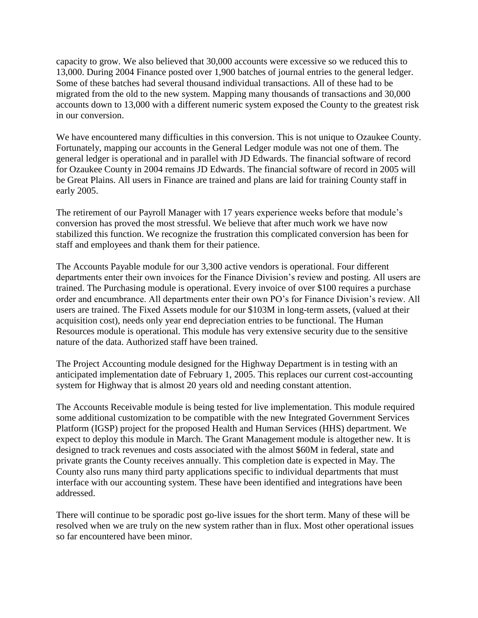capacity to grow. We also believed that 30,000 accounts were excessive so we reduced this to 13,000. During 2004 Finance posted over 1,900 batches of journal entries to the general ledger. Some of these batches had several thousand individual transactions. All of these had to be migrated from the old to the new system. Mapping many thousands of transactions and 30,000 accounts down to 13,000 with a different numeric system exposed the County to the greatest risk in our conversion.

We have encountered many difficulties in this conversion. This is not unique to Ozaukee County. Fortunately, mapping our accounts in the General Ledger module was not one of them. The general ledger is operational and in parallel with JD Edwards. The financial software of record for Ozaukee County in 2004 remains JD Edwards. The financial software of record in 2005 will be Great Plains. All users in Finance are trained and plans are laid for training County staff in early 2005.

The retirement of our Payroll Manager with 17 years experience weeks before that module's conversion has proved the most stressful. We believe that after much work we have now stabilized this function. We recognize the frustration this complicated conversion has been for staff and employees and thank them for their patience.

The Accounts Payable module for our 3,300 active vendors is operational. Four different departments enter their own invoices for the Finance Division's review and posting. All users are trained. The Purchasing module is operational. Every invoice of over \$100 requires a purchase order and encumbrance. All departments enter their own PO's for Finance Division's review. All users are trained. The Fixed Assets module for our \$103M in long-term assets, (valued at their acquisition cost), needs only year end depreciation entries to be functional. The Human Resources module is operational. This module has very extensive security due to the sensitive nature of the data. Authorized staff have been trained.

The Project Accounting module designed for the Highway Department is in testing with an anticipated implementation date of February 1, 2005. This replaces our current cost-accounting system for Highway that is almost 20 years old and needing constant attention.

The Accounts Receivable module is being tested for live implementation. This module required some additional customization to be compatible with the new Integrated Government Services Platform (IGSP) project for the proposed Health and Human Services (HHS) department. We expect to deploy this module in March. The Grant Management module is altogether new. It is designed to track revenues and costs associated with the almost \$60M in federal, state and private grants the County receives annually. This completion date is expected in May. The County also runs many third party applications specific to individual departments that must interface with our accounting system. These have been identified and integrations have been addressed.

There will continue to be sporadic post go-live issues for the short term. Many of these will be resolved when we are truly on the new system rather than in flux. Most other operational issues so far encountered have been minor.